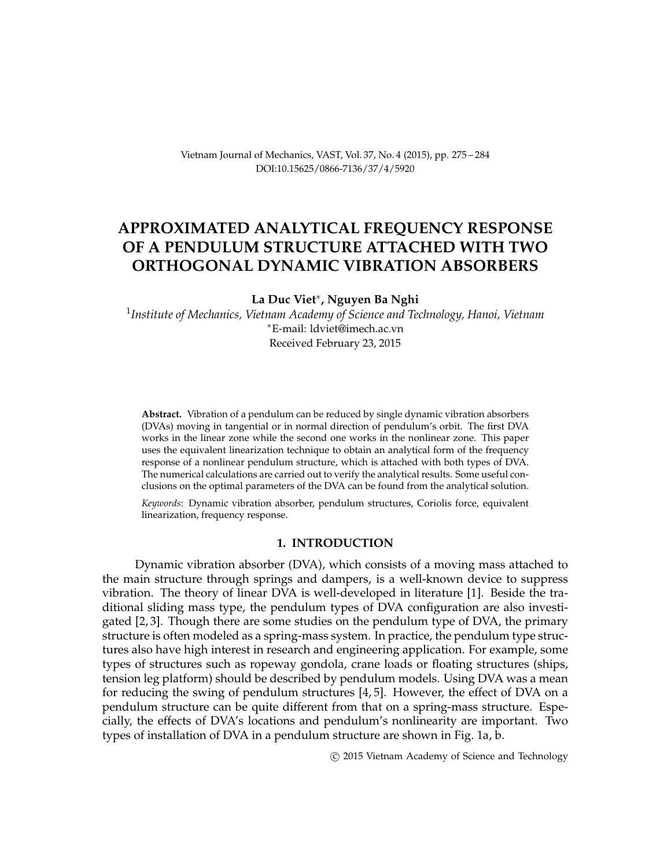Vietnam Journal of Mechanics, VAST, Vol. 37, No. 4 (2015), pp. 275 – 284 DOI[:10.15625/0866-7136/37/4/5920](http://dx.doi.org/10.15625/0866-7136/37/4/5920)

## **APPROXIMATED ANALYTICAL FREQUENCY RESPONSE OF A PENDULUM STRUCTURE ATTACHED WITH TWO ORTHOGONAL DYNAMIC VIBRATION ABSORBERS**

**La Duc Viet**<sup>∗</sup> **, Nguyen Ba Nghi**

1 *Institute of Mechanics, Vietnam Academy of Science and Technology, Hanoi, Vietnam* <sup>∗</sup>E-mail: [ldviet@imech.ac.vn](mailto: ldviet@imech.ac.vn) Received February 23, 2015

**Abstract.** Vibration of a pendulum can be reduced by single dynamic vibration absorbers (DVAs) moving in tangential or in normal direction of pendulum's orbit. The first DVA works in the linear zone while the second one works in the nonlinear zone. This paper uses the equivalent linearization technique to obtain an analytical form of the frequency response of a nonlinear pendulum structure, which is attached with both types of DVA. The numerical calculations are carried out to verify the analytical results. Some useful conclusions on the optimal parameters of the DVA can be found from the analytical solution.

*Keywords*: Dynamic vibration absorber, pendulum structures, Coriolis force, equivalent linearization, frequency response.

### **1. INTRODUCTION**

Dynamic vibration absorber (DVA), which consists of a moving mass attached to the main structure through springs and dampers, is a well-known device to suppress vibration. The theory of linear DVA is well-developed in literature [\[1\]](#page-9-0). Beside the traditional sliding mass type, the pendulum types of DVA configuration are also investigated [\[2,](#page-9-1) [3\]](#page-9-2). Though there are some studies on the pendulum type of DVA, the primary structure is often modeled as a spring-mass system. In practice, the pendulum type structures also have high interest in research and engineering application. For example, some types of structures such as ropeway gondola, crane loads or floating structures (ships, tension leg platform) should be described by pendulum models. Using DVA was a mean for reducing the swing of pendulum structures [\[4,](#page-9-3) [5\]](#page-9-4). However, the effect of DVA on a pendulum structure can be quite different from that on a spring-mass structure. Especially, the effects of DVA's locations and pendulum's nonlinearity are important. Two types of installation of DVA in a pendulum structure are shown in Fig. 1a, b.

c 2015 Vietnam Academy of Science and Technology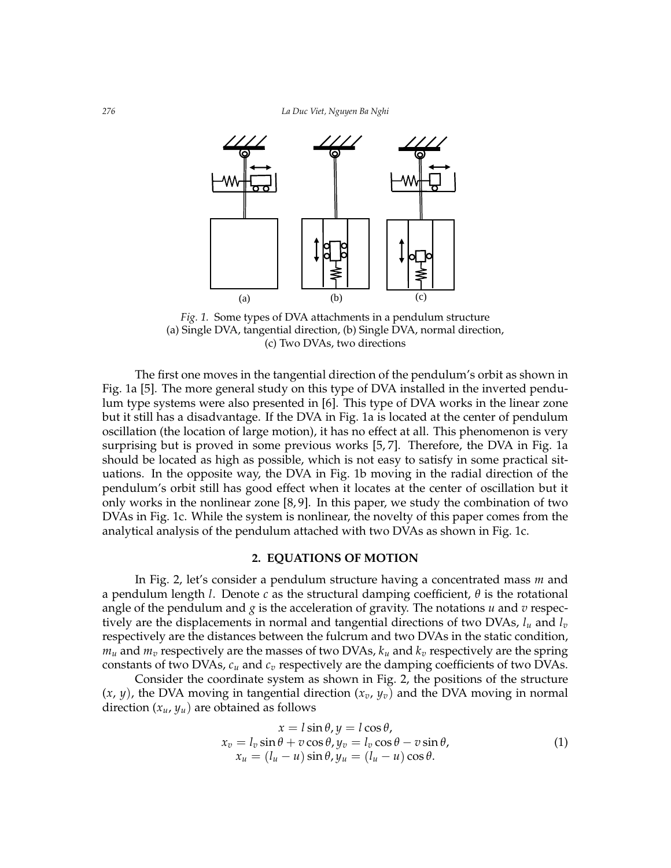

Fig.1. Some types of DVA attachments in a pendulum structure *Fig. 1.* Some types of DVA attachments in a pendulum structure (a) Single DVA, tangential direction, (b) Single DVA, normal direction, (c) Two DVAs, two directions

The first one moves in the tangential direction of the pendulum's orbit as shown in Fig. 1a [\[5\]](#page-9-4). The more general study on this type of DVA installed in the inverted pendu-lum type systems were also presented in [\[6\]](#page-9-5). This type of DVA works in the linear zone but it still has a disadvantage. If the DVA in Fig. 1a is located at the center of pendulum surprising but is proved in some previous works [\[5,](#page-9-4) [7\]](#page-9-6). Therefore, the DVA in Fig. 1a should be located as high as possible, which is not easy to satisfy in some practical situations. In the opposite way, the DVA in Fig. 1b moving in the radial direction of the pendulum's orbit still has good effect when it locates at the center of oscillation but it DVAs in Fig. 1c. While the system is nonlinear, the novelty of this paper comes from the analytical analysis of the pendulum attached with two DVAs as shown in Fig. 1c. oscillation (the location of large motion), it has no effect at all. This phenomenon is very only works in the nonlinear zone [\[8,](#page-9-7) [9\]](#page-9-8). In this paper, we study the combination of two

#### **2. EQUATIONS OF MOTION**

**2. Equations of motion** a pendulum length *l*. Denote *c* as the structural damping coefficient, *θ* is the rotational angle of the pendulum and  $g$  is the acceleration of gravity. The notations  $u$  and  $v$  respecrespectively are the distances between the fulcrum and two DVAs in the static condition,  $m_u$  and  $m_v$  respectively are the masses of two DVAs,  $k_u$  and  $k_v$  respectively are the spring constants of two DVAs,  $c_u$  and  $c_v$  respectively are the damping coefficients of two DVAs. In Fig. 2, let's consider a pendulum structure having a concentrated mass *m* and tively are the displacements in normal and tangential directions of two DVAs, *l<sup>u</sup>* and *l<sup>v</sup>*

Consider the coordinate system as shown in Fig. 2, the positions of the structure direction  $(x_u, y_u)$  are obtained as follows  $(x, y)$ , the DVA moving in tangential direction  $(x_v, y_v)$  and the DVA moving in normal

<span id="page-1-0"></span>
$$
x = l \sin \theta, y = l \cos \theta,
$$
  
\n
$$
x_v = l_v \sin \theta + v \cos \theta, y_v = l_v \cos \theta - v \sin \theta,
$$
  
\n
$$
x_u = (l_u - u) \sin \theta, y_u = (l_u - u) \cos \theta.
$$
\n(1)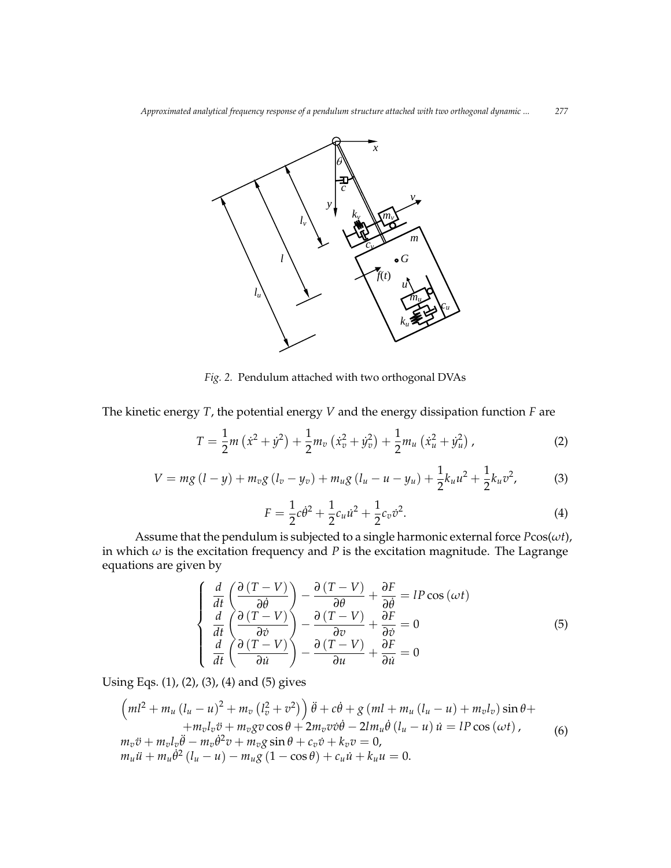

Fig. 2. Pendulum attached with two orthogonal DVAs

The kinetic energy *T*, the potential energy *V* and the energy dissipation function *F* are

the kinetic energy *T*, the potential energy *V* and the energy dissipation function *F* are  
\n
$$
T = \frac{1}{2}m(\dot{x}^2 + \dot{y}^2) + \frac{1}{2}m_v(\dot{x}_v^2 + \dot{y}_v^2) + \frac{1}{2}m_u(\dot{x}_u^2 + \dot{y}_u^2),
$$
\n(2)  
\n
$$
V = mg (l - \psi) + m_v g (l_v - \psi_v) + m_u g (l_u - u - \psi_u) + \frac{1}{2}k_u u^2 + \frac{1}{2}k_u v^2,
$$
\n(3)

<span id="page-2-1"></span>
$$
V = mg (l - y) + m_v g (l_v - y_v) + m_u g (l_u - u - y_u) + \frac{1}{2} k_u u^2 + \frac{1}{2} k_u v^2,
$$
 (3)

<span id="page-2-2"></span><span id="page-2-0"></span>
$$
F = \frac{1}{2}c\dot{\theta}^2 + \frac{1}{2}c_u\dot{u}^2 + \frac{1}{2}c_v\dot{v}^2.
$$
 (4)  
pendulum is subjected to a single harmonic external force  $P\cos(\omega t)$ 

nonic externa<br>n magnitude nome ext<br>n magnit Assume that the pendulum is subjected to a single harmonic external force  $P\cos(\omega t)$  in which  $\omega$  is the excitation frequency and *P* is the excitation magnitude. The Lagrange equations are given by Assume that the pendulum is subjected to a single harmonic external force *P*cos(*ωt*), equations are given by

<span id="page-2-3"></span>
$$
\begin{cases}\n\frac{d}{dt}\left(\frac{\partial (T-V)}{\partial \dot{\theta}}\right) - \frac{\partial (T-V)}{\partial \theta} + \frac{\partial F}{\partial \dot{\theta}} = IP \cos (\omega t) \\
\frac{d}{dt}\left(\frac{\partial (T-V)}{\partial \dot{\theta}}\right) - \frac{\partial (T-V)}{\partial \theta} + \frac{\partial F}{\partial \dot{\theta}} = 0 \\
\frac{d}{dt}\left(\frac{\partial (T-V)}{\partial \dot{u}}\right) - \frac{\partial (T-V)}{\partial u} + \frac{\partial F}{\partial \dot{u}} = 0\n\end{cases}
$$
\n(5)

<span id="page-2-4"></span> $\overline{a}$ 

Using Eqs. (1), (2), (3), (4) and (5) gives  
\n
$$
\left(ml^2 + m_u (l_u - u)^2 + m_v (l_v^2 + v^2)\right)\ddot{\theta} + c\dot{\theta} + g (ml + m_u (l_u - u) + m_v l_v) \sin \theta +
$$
\n
$$
+ m_v l_v \ddot{v} + m_v g v \cos \theta + 2m_v v \dot{v} \dot{\theta} - 2lm_u \dot{\theta} (l_u - u) \dot{u} = lP \cos (\omega t),
$$
\n
$$
m_v \ddot{v} + m_v l_v \ddot{\theta} - m_v \dot{\theta}^2 v + m_v g \sin \theta + c_v \dot{v} + k_v v = 0,
$$
\n
$$
m_u \ddot{u} + m_u \dot{\theta}^2 (l_u - u) - m_u g (1 - \cos \theta) + c_u \dot{u} + k_u u = 0.
$$
\n(6)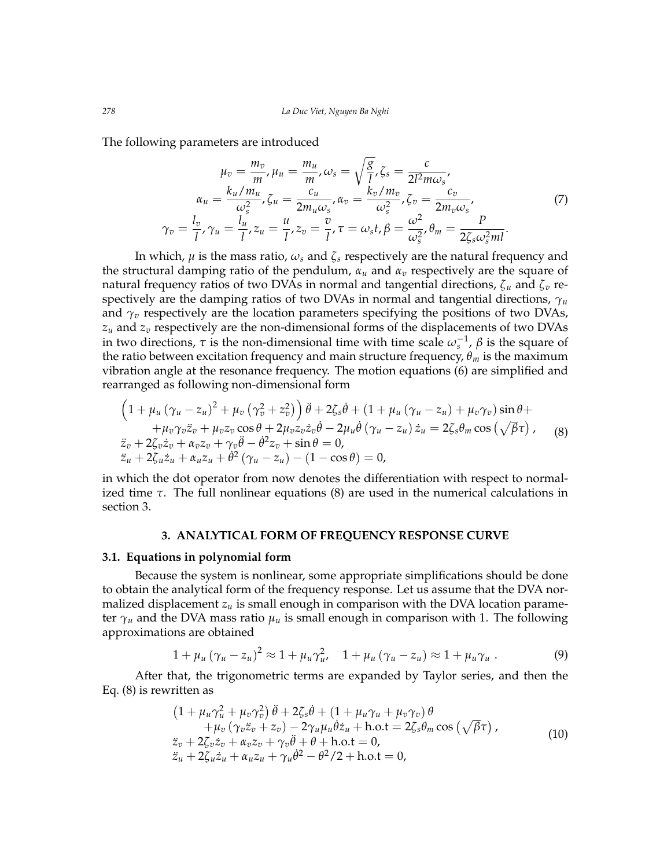The following parameters are introduced

$$
\mu_v = \frac{m_v}{m}, \mu_u = \frac{m_u}{m}, \omega_s = \sqrt{\frac{g}{l}}, \zeta_s = \frac{c}{2l^2 m \omega_s},
$$

$$
\alpha_u = \frac{k_u/m_u}{\omega_s^2}, \zeta_u = \frac{c_u}{2m_u \omega_s}, \alpha_v = \frac{k_v/m_v}{\omega_s^2}, \zeta_v = \frac{c_v}{2m_v \omega_s},
$$

$$
\gamma_v = \frac{l_v}{l}, \gamma_u = \frac{l_u}{l}, z_u = \frac{u}{l}, z_v = \frac{v}{l}, \tau = \omega_s t, \beta = \frac{\omega^2}{\omega_s^2}, \theta_m = \frac{P}{2\zeta_s \omega_s^2 m l}.
$$
(7)

In which,  $\mu$  is the mass ratio,  $\omega_s$  and  $\zeta_s$  respectively are the natural frequency and the structural damping ratio of the pendulum, *α<sup>u</sup>* and *α<sup>v</sup>* respectively are the square of natural frequency ratios of two DVAs in normal and tangential directions, *ζ<sup>u</sup>* and *ζ<sup>v</sup>* respectively are the damping ratios of two DVAs in normal and tangential directions,  $\gamma_u$ and  $\gamma$ <sup>*v*</sup> respectively are the location parameters specifying the positions of two DVAs, *z<sup>u</sup>* and *z<sup>v</sup>* respectively are the non-dimensional forms of the displacements of two DVAs in two directions,  $\tau$  is the non-dimensional time with time scale  $\omega_s^{-1}$ ,  $\beta$  is the square of the ratio between excitation frequency and main structure frequency,  $\theta_m$  is the maximum vibration angle at the resonance frequency. The motion equations [\(6\)](#page-2-4) are simplified and rearranged as following non-dimensional form

<span id="page-3-0"></span>
$$
\left(1+\mu_u(\gamma_u-z_u)^2+\mu_v(\gamma_v^2+z_v^2)\right)\ddot{\theta}+2\zeta_s\dot{\theta}+(1+\mu_u(\gamma_u-z_u)+\mu_v\gamma_v)\sin\theta+\n+ \mu_v\gamma_v\ddot{z}_v+\mu_vz_v\cos\theta+2\mu_vz_v\dot{z}_v\dot{\theta}-2\mu_u\dot{\theta}(\gamma_u-z_u)\dot{z}_u=2\zeta_s\theta_m\cos(\sqrt{\beta}\tau),\n\dot{z}_v+2\zeta_v\dot{z}_v+\alpha_vz_v+\gamma_v\ddot{\theta}-\dot{\theta}^2z_v+\sin\theta=0,\n\ddot{z}_u+2\zeta_u\dot{z}_u+\alpha_uz_u+\dot{\theta}^2(\gamma_u-z_u)-(1-\cos\theta)=0,
$$
\n(8)

in which the dot operator from now denotes the differentiation with respect to normalized time *τ*. The full nonlinear equations [\(8\)](#page-3-0) are used in the numerical calculations in section 3.

### **3. ANALYTICAL FORM OF FREQUENCY RESPONSE CURVE**

#### **3.1. Equations in polynomial form**

Because the system is nonlinear, some appropriate simplifications should be done to obtain the analytical form of the frequency response. Let us assume that the DVA normalized displacement  $z<sub>u</sub>$  is small enough in comparison with the DVA location parameter  $\gamma_u$  and the DVA mass ratio  $\mu_u$  is small enough in comparison with 1. The following approximations are obtained

$$
1 + \mu_u (\gamma_u - z_u)^2 \approx 1 + \mu_u \gamma_u^2, \quad 1 + \mu_u (\gamma_u - z_u) \approx 1 + \mu_u \gamma_u . \tag{9}
$$

After that, the trigonometric terms are expanded by Taylor series, and then the Eq. [\(8\)](#page-3-0) is rewritten as

$$
(1 + \mu_u \gamma_u^2 + \mu_v \gamma_v^2) \ddot{\theta} + 2\zeta_s \dot{\theta} + (1 + \mu_u \gamma_u + \mu_v \gamma_v) \theta + \mu_v (\gamma_v \ddot{z}_v + z_v) - 2\gamma_u \mu_u \dot{\theta} \dot{z}_u + \text{h.o.t} = 2\zeta_s \theta_m \cos(\sqrt{\beta}\tau), \n\ddot{z}_v + 2\zeta_v \dot{z}_v + \alpha_v z_v + \gamma_v \ddot{\theta} + \theta + \text{h.o.t} = 0, \n\ddot{z}_u + 2\zeta_u \dot{z}_u + \alpha_u z_u + \gamma_u \dot{\theta}^2 - \theta^2/2 + \text{h.o.t} = 0,
$$
\n(10)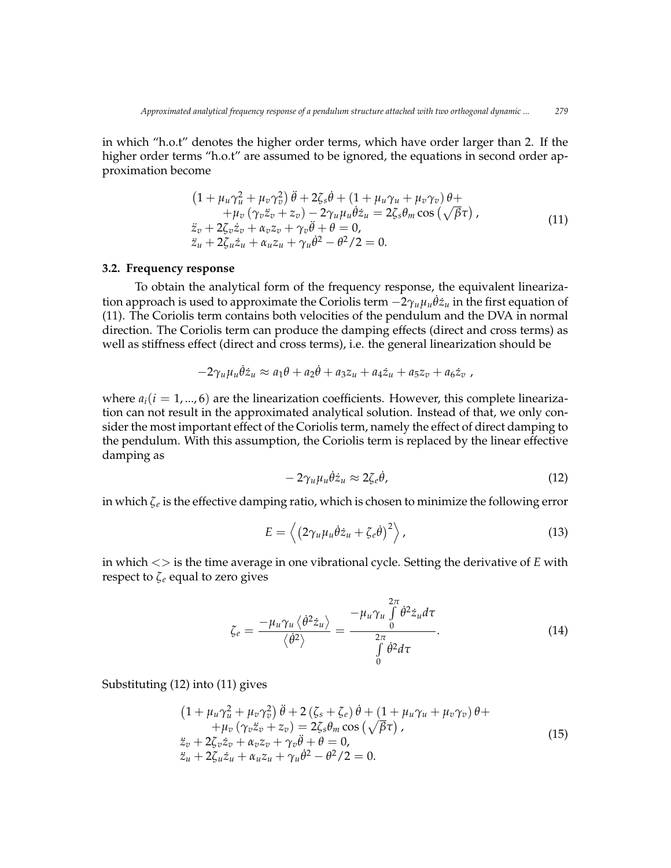in which "h.o.t" denotes the higher order terms, which have order larger than 2. If the higher order terms "h.o.t" are assumed to be ignored, the equations in second order approximation become

<span id="page-4-0"></span>
$$
(1 + \mu_u \gamma_u^2 + \mu_v \gamma_v^2) \ddot{\theta} + 2\zeta_s \dot{\theta} + (1 + \mu_u \gamma_u + \mu_v \gamma_v) \theta ++ \mu_v (\gamma_v \ddot{z}_v + z_v) - 2\gamma_u \mu_u \dot{\theta} \dot{z}_u = 2\zeta_s \theta_m \cos(\sqrt{\beta}\tau),\n\ddot{z}_v + 2\zeta_v \dot{z}_v + \alpha_v z_v + \gamma_v \ddot{\theta} + \theta = 0,\n\ddot{z}_u + 2\zeta_u \dot{z}_u + \alpha_u z_u + \gamma_u \dot{\theta}^2 - \theta^2/2 = 0.
$$
\n(11)

#### **3.2. Frequency response**

To obtain the analytical form of the frequency response, the equivalent linearization approach is used to approximate the Coriolis term −2*γuµ<sup>u</sup>* ˙*θz*˙*<sup>u</sup>* in the first equation of [\(11\)](#page-4-0). The Coriolis term contains both velocities of the pendulum and the DVA in normal direction. The Coriolis term can produce the damping effects (direct and cross terms) as well as stiffness effect (direct and cross terms), i.e. the general linearization should be

$$
-2\gamma_u\mu_u\dot{\theta}\dot{z}_u\approx a_1\theta+a_2\dot{\theta}+a_3z_u+a_4\dot{z}_u+a_5z_v+a_6\dot{z}_v,
$$

where  $a_i(i = 1, ..., 6)$  are the linearization coefficients. However, this complete linearization can not result in the approximated analytical solution. Instead of that, we only consider the most important effect of the Coriolis term, namely the effect of direct damping to the pendulum. With this assumption, the Coriolis term is replaced by the linear effective damping as

<span id="page-4-1"></span>
$$
-2\gamma_u\mu_u\dot{\theta}\dot{z}_u\approx 2\zeta_e\dot{\theta},\qquad(12)
$$

in which  $\zeta_e$  is the effective damping ratio, which is chosen to minimize the following error

$$
E = \left\langle \left(2\gamma_u \mu_u \dot{\theta} \dot{z}_u + \zeta_e \dot{\theta}\right)^2 \right\rangle, \tag{13}
$$

in which  $\langle \rangle$  is the time average in one vibrational cycle. Setting the derivative of *E* with respect to  $\zeta_e$  equal to zero gives

<span id="page-4-3"></span>
$$
\zeta_e = \frac{-\mu_u \gamma_u \langle \dot{\theta}^2 \dot{z}_u \rangle}{\langle \dot{\theta}^2 \rangle} = \frac{-\mu_u \gamma_u \int_0^{2\pi} \dot{\theta}^2 \dot{z}_u d\tau}{\int_0^{2\pi} \dot{\theta}^2 d\tau}.
$$
(14)

Substituting [\(12\)](#page-4-1) into [\(11\)](#page-4-0) gives

<span id="page-4-2"></span>
$$
(1 + \mu_u \gamma_u^2 + \mu_v \gamma_v^2) \ddot{\theta} + 2 (\zeta_s + \zeta_e) \dot{\theta} + (1 + \mu_u \gamma_u + \mu_v \gamma_v) \theta ++ \mu_v (\gamma_v \ddot{z}_v + z_v) = 2 \zeta_s \theta_m \cos (\sqrt{\beta} \tau),\n\ddot{z}_v + 2 \zeta_v \dot{z}_v + \alpha_v z_v + \gamma_v \ddot{\theta} + \theta = 0,\n\ddot{z}_u + 2 \zeta_u \dot{z}_u + \alpha_u z_u + \gamma_u \dot{\theta}^2 - \theta^2 / 2 = 0.
$$
\n(15)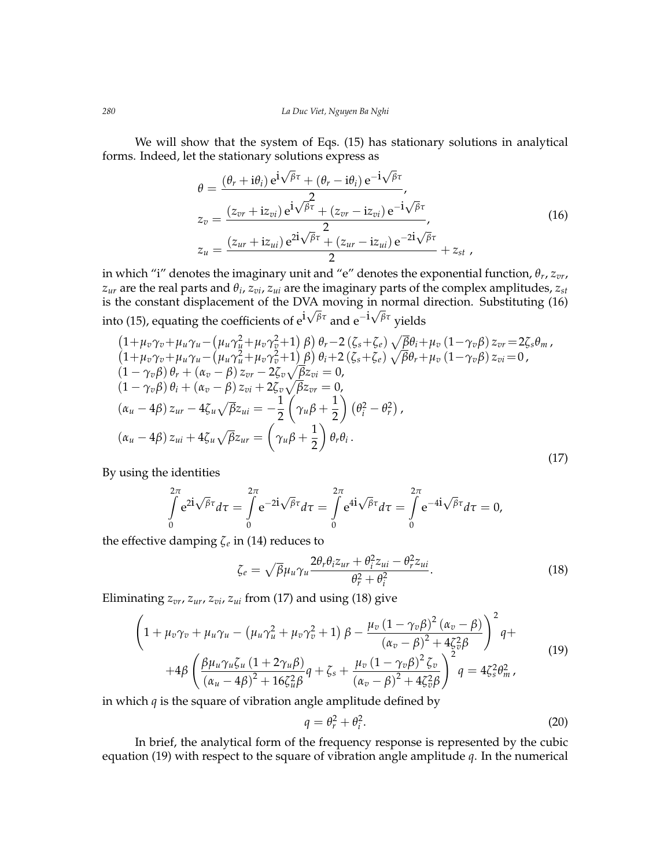We will show that the system of Eqs. [\(15\)](#page-4-2) has stationary solutions in analytical forms. Indeed, let the stationary solutions express as √ √

<span id="page-5-0"></span>
$$
\theta = \frac{(\theta_r + i\theta_i) e^{i\sqrt{\beta}\tau} + (\theta_r - i\theta_i) e^{-i\sqrt{\beta}\tau}}{2},
$$
\n
$$
z_v = \frac{(z_{vr} + i z_{vi}) e^{i\sqrt{\beta}\tau} + (z_{vr} - i z_{vi}) e^{-i\sqrt{\beta}\tau}}{2},
$$
\n
$$
z_u = \frac{(z_{ur} + i z_{ui}) e^{2i\sqrt{\beta}\tau} + (z_{ur} - i z_{ui}) e^{-2i\sqrt{\beta}\tau}}{2} + z_{st},
$$
\n(16)

in which "i" denotes the imaginary unit and "e" denotes the exponential function*,*  $\theta_r$ *, z<sub>vr</sub>, zur* are the real parts and *θ<sup>i</sup>* , *zvi*, *zui* are the imaginary parts of the complex amplitudes, *zst* is the constant displacement of the DVA moving in normal direction. Substituting [\(16\)](#page-5-0) into [\(15\)](#page-4-2), equating the coefficients of ei *βτ* and e−<sup>i</sup> *βτ* yields

<span id="page-5-1"></span>
$$
(1+\mu_v\gamma_v+\mu_u\gamma_u-(\mu_u\gamma_u^2+\mu_v\gamma_v^2+1)\beta)\theta_r-2(\zeta_s+\zeta_e)\sqrt{\beta}\theta_i+\mu_v(1-\gamma_v\beta)z_{vr}=2\zeta_s\theta_m,(1+\mu_v\gamma_v+\mu_u\gamma_u-(\mu_u\gamma_u^2+\mu_v\gamma_v^2+1)\beta)\theta_i+2(\zeta_s+\zeta_e)\sqrt{\beta}\theta_r+\mu_v(1-\gamma_v\beta)z_{vi}=0,(1-\gamma_v\beta)\theta_r+(\alpha_v-\beta)z_{vr}-2\zeta_v\sqrt{\beta}z_{vi}=0,(1-\gamma_v\beta)\theta_i+(\alpha_v-\beta)z_{vi}+2\zeta_v\sqrt{\beta}z_{vr}=0,(\alpha_u-4\beta)z_{ur}-4\zeta_u\sqrt{\beta}z_{ui}=-\frac{1}{2}(\gamma_u\beta+\frac{1}{2})(\theta_i^2-\theta_r^2),(\alpha_u-4\beta)z_{ui}+4\zeta_u\sqrt{\beta}z_{ur}=\left(\gamma_u\beta+\frac{1}{2}\right)\theta_r\theta_i.
$$
\n(17)

By using the identities

$$
\int_{0}^{2\pi} e^{2\mathbf{i}\sqrt{\beta}\tau} d\tau = \int_{0}^{2\pi} e^{-2\mathbf{i}\sqrt{\beta}\tau} d\tau = \int_{0}^{2\pi} e^{4\mathbf{i}\sqrt{\beta}\tau} d\tau = \int_{0}^{2\pi} e^{-4\mathbf{i}\sqrt{\beta}\tau} d\tau = 0,
$$

the effective damping *ζ<sup>e</sup>* in [\(14\)](#page-4-3) reduces to

<span id="page-5-2"></span>
$$
\zeta_e = \sqrt{\beta} \mu_u \gamma_u \frac{2\theta_r \theta_i z_{ur} + \theta_i^2 z_{ui} - \theta_r^2 z_{ui}}{\theta_r^2 + \theta_i^2}.
$$
\n(18)

Eliminating  $z_{vr}$ ,  $z_{ur}$ ,  $z_{vi}$ ,  $z_{ui}$  from [\(17\)](#page-5-1) and using [\(18\)](#page-5-2) give

<span id="page-5-3"></span>
$$
\left(1+\mu_v\gamma_v+\mu_u\gamma_u-\left(\mu_u\gamma_u^2+\mu_v\gamma_v^2+1\right)\beta-\frac{\mu_v\left(1-\gamma_v\beta\right)^2(\alpha_v-\beta)}{(\alpha_v-\beta)^2+4\zeta_v^2\beta}\right)^2q+\n+4\beta\left(\frac{\beta\mu_u\gamma_u\zeta_u\left(1+2\gamma_u\beta\right)}{(\alpha_u-4\beta)^2+16\zeta_u^2\beta}q+\zeta_s+\frac{\mu_v\left(1-\gamma_v\beta\right)^2\zeta_v}{(\alpha_v-\beta)^2+4\zeta_v^2\beta}\right)^2q=4\zeta_s^2\theta_m^2,
$$
\n(19)

in which *q* is the square of vibration angle amplitude defined by

$$
q = \theta_r^2 + \theta_i^2. \tag{20}
$$

In brief, the analytical form of the frequency response is represented by the cubic equation [\(19\)](#page-5-3) with respect to the square of vibration angle amplitude *q*. In the numerical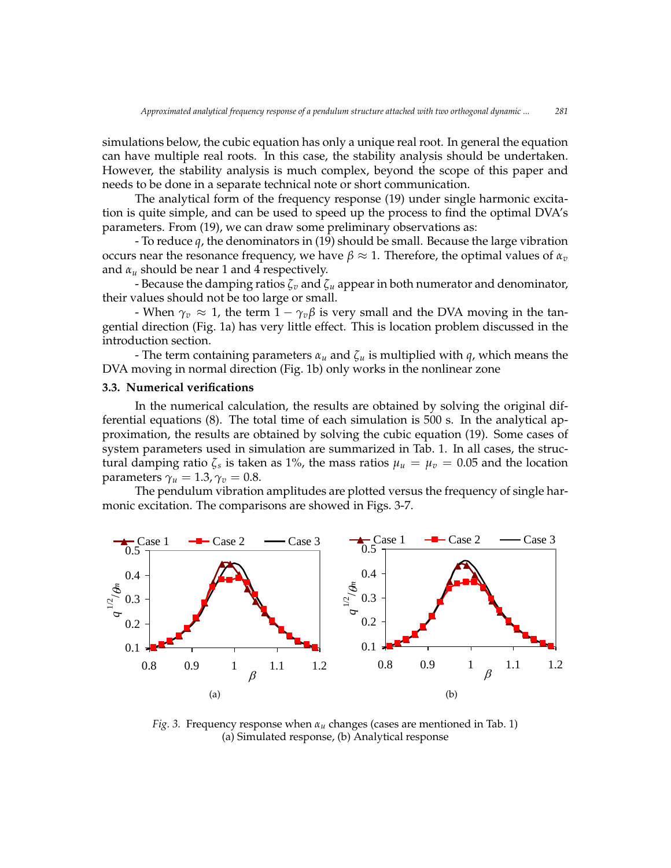simulations below, the cubic equation has only a unique real root. In general the equation simulations below, the cubic equation has only a unique real foot. In general the equation<br>can have multiple real roots. In this case, the stability analysis should be undertaken. However, the stability analysis is much complex, beyond the scope of this paper and o needs to be done in a separate technical note or short communication.

The analytical form of the frequency response (19) under single harmonic excitation is quite simple, and can be used to speed up the process to find the optimal DVA's parameters. From [\(19\)](#page-5-3), we can draw some preliminary observations as:

- To reduce  $q$ , the denominators in [\(19\)](#page-5-3) should be small. Because the large vibration occurs near the resonance frequency, we have  $β \approx 1$ . Therefore, the optimal values of  $α<sub>v</sub>$ and  $\alpha_u$  should be near 1 and 4 respectively.

 $\frac{1}{2}$  because the damping ratios  $\zeta_v$  and  $\zeta_u$  appear in both numerator and denominator, their values should not be too large or small. 0.4328 0.3791 0.4328 0.3791 0.3792 0.3792 0.3792 0.3792 0.3792 0.3792 0.3792 0.3792 0.3792 0.3792 0.3792 0.3792 0.3792 0.379<br>0.3792 0.3792 0.3792 0.3792 0.3792 0.3792 0.3792 0.3792 0.3792 0.3792 0.3792 0.3792 0.3792 0.3792 0.3792 0.379

- When  $\gamma_v \approx 1$ , the term  $1 - \gamma_v \beta$  is very small and the DVA moving in the tangential direction (Fig. 1a) has very little effect. This is location problem discussed in the introduction section. o  $\mathbf{on}$ . o  $\mathfrak{O}$  n.

- The term containing parameters  $\alpha_u$  and  $\zeta_u$  is multiplied with  $q$ , which means the normal direction (Fig. 1b) only vertice in the nonlinear zone. DVA moving in normal direction (Fig. 1b) only works in the nonlinear zone

# **3.3. Numerical verifications**

In the numerical calculation, the results are obtained by solving the original differential equations  $(8)$ . The total time of each simulation is 500 s. In the analytical ap-proximation, the results are obtained by solving the cubic equation [\(19\)](#page-5-3). Some cases of proximation, are research are obtained by borring the easte equation (12). Some cases of system parameters used in simulation are summarized in Tab. 1. In all cases, the structural damping ratio  $\zeta_s$  is taken as 1%, the mass ratios  $\mu_u = \mu_v = 0.05$  and the location parameters  $\gamma_u = 1.3$ ,  $\gamma_v = 0.8$ .

parameters  $\gamma_u = 1.5$ ,  $\gamma_v = 0.5$ .<br>The pendulum vibration amplitudes are plotted versus the frequency of single harmonic excitation. The comparisons are showed in Figs. 3-7.



*Fig. 3.* Frequency response when *α<sup>u</sup>* changes (cases are mentioned in Tab. 1) (a) Simulated response, (b) Analytical response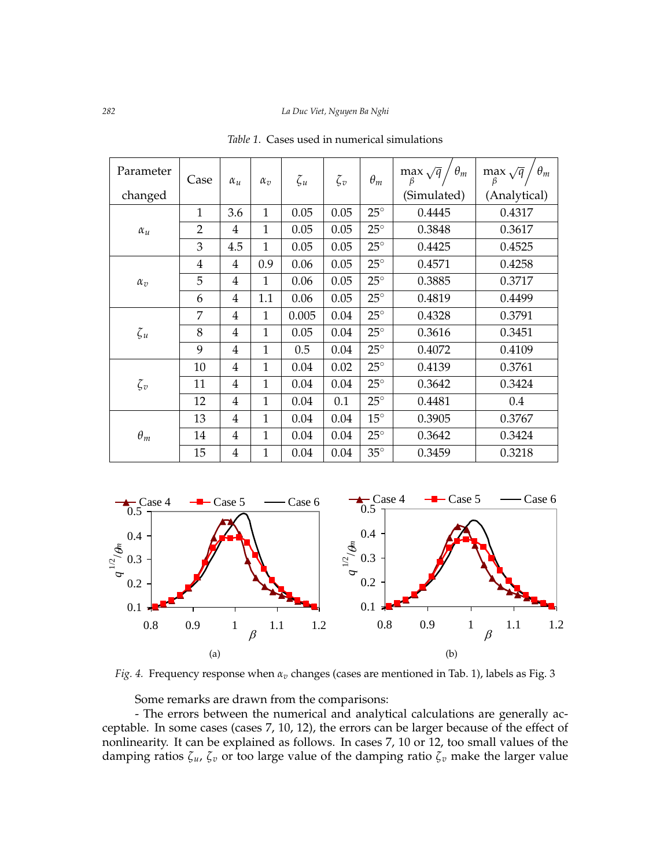| Parameter  | Case           | $\alpha_u$     | $\alpha_v$   | $\zeta_u$ | $\zeta_v$ | $\theta_m$   | $\theta_m$<br>$\max_{\rho} \sqrt{q}$<br>β | $\theta_m$<br>$\max_{\mathfrak{g}} \sqrt{\mathfrak{q}}$<br>β |
|------------|----------------|----------------|--------------|-----------|-----------|--------------|-------------------------------------------|--------------------------------------------------------------|
| changed    |                |                |              |           |           |              | (Simulated)                               | (Analytical)                                                 |
| $\alpha_u$ | $\mathbf{1}$   | 3.6            | $\mathbf{1}$ | 0.05      | 0.05      | $25^\circ$   | 0.4445                                    | 0.4317                                                       |
|            | $\overline{2}$ | 4              | $\mathbf{1}$ | 0.05      | 0.05      | $25^\circ$   | 0.3848                                    | 0.3617                                                       |
|            | 3              | 4.5            | $\mathbf{1}$ | 0.05      | 0.05      | $25^\circ$   | 0.4425                                    | 0.4525                                                       |
| $\alpha_v$ | $\overline{4}$ | 4              | 0.9          | 0.06      | 0.05      | $25^{\circ}$ | 0.4571                                    | 0.4258                                                       |
|            | 5              | 4              | $\mathbf{1}$ | 0.06      | 0.05      | $25^{\circ}$ | 0.3885                                    | 0.3717                                                       |
|            | 6              | 4              | 1.1          | 0.06      | 0.05      | $25^{\circ}$ | 0.4819                                    | 0.4499                                                       |
| $\zeta_u$  | 7              | 4              | 1            | 0.005     | 0.04      | $25^\circ$   | 0.4328                                    | 0.3791                                                       |
|            | 8              | 4              | 1            | 0.05      | 0.04      | $25^{\circ}$ | 0.3616                                    | 0.3451                                                       |
|            | 9              | $\overline{4}$ | $\mathbf{1}$ | 0.5       | 0.04      | $25^\circ$   | 0.4072                                    | 0.4109                                                       |
| $\zeta_v$  | 10             | 4              | $\mathbf{1}$ | 0.04      | 0.02      | $25^\circ$   | 0.4139                                    | 0.3761                                                       |
|            | 11             | 4              | 1            | 0.04      | 0.04      | $25^\circ$   | 0.3642                                    | 0.3424                                                       |
|            | 12             | 4              | 1            | 0.04      | 0.1       | $25^\circ$   | 0.4481                                    | 0.4                                                          |
| $\theta_m$ | 13             | 4              | $\mathbf{1}$ | 0.04      | 0.04      | $15^{\circ}$ | 0.3905                                    | 0.3767                                                       |
|            | 14             | 4              | 1            | 0.04      | 0.04      | $25^{\circ}$ | 0.3642                                    | 0.3424                                                       |
|            | 15             | $\overline{4}$ | $\mathbf{1}$ | 0.04      | 0.04      | $35^\circ$   | 0.3459                                    | 0.3218                                                       |

*Table 1*. Cases used in numerical simulations



Fig. 4. Frequency response when  $\alpha_v$  changes (cases are mentioned in Tab. 1), labels as Fig. 3

Some remarks are drawn from the comparisons:  $\overline{\text{ns}}$ :

.<br>ino ceptable. In some cases (cases 7, 10, 12), the errors can be larger because of the effect of  $\mathbf{u}$ numearity. It can be explained as follows. In case:<br>Imping ratios 7 - 7 - or too large value of the dam 1 I C *iearity.* It can be explained as follows. If  $\alpha$ <br>ing ratios  $\zeta_u$ ,  $\zeta_v$  or too large value of the q  $\overline{a}$ /*m* 0.3  $\ddot{\phantom{1}}$ *damping ratios*  $\zeta_u$ ,  $\zeta_v$  or too large value of the damping ratio  $\zeta_v$  make the larger value - The errors between the numerical and analytical calculations are generally acnonlinearity. It can be explained as follows. In cases 7, 10 or 12, too small values of the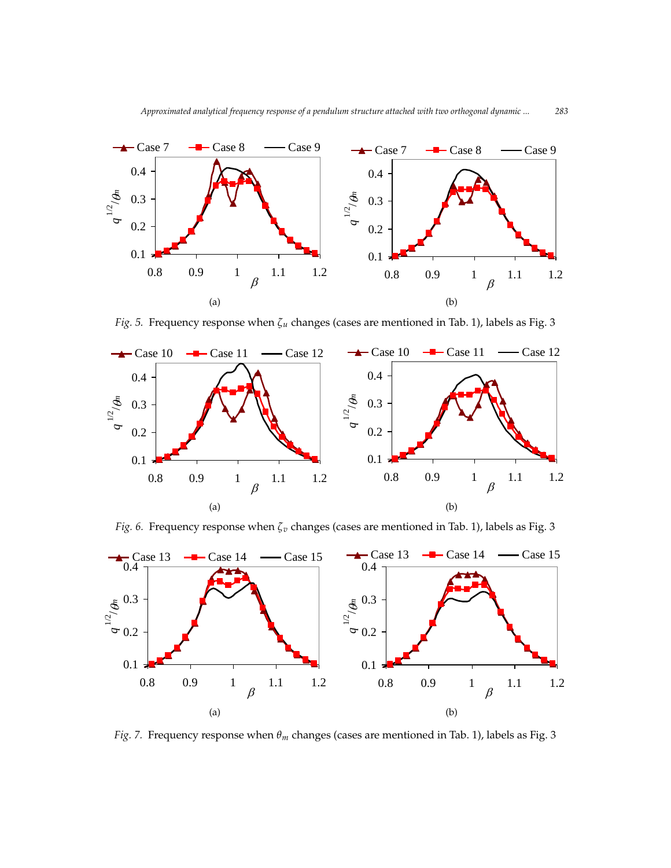

Fig.4. Frequency response when *<sup>v</sup>* changes (cases are mentioned in Table 1), labels as Fig. 3

Fig.4. Frequency response when *<sup>v</sup>* changes (cases are mentioned in Table1), labels as Fig. 3

Fig. 5. Frequency response when  $\zeta_u$  changes (cases are mentioned in Tab. 1), labels as Fig. 3 *Fig.* 5. Frequency response when  $\zeta_u$  changes (cases are mentioned in Tab. 1), labels as Fig. 3



Fig. 6. Frequency response when  $\zeta_v$  changes (cases are mentioned in Tab. 1), labels as Fig. 3



Fig. 7. Frequency response when  $\theta_m$  changes (cases are mentioned in Tab. 1), labels as Fig. 3